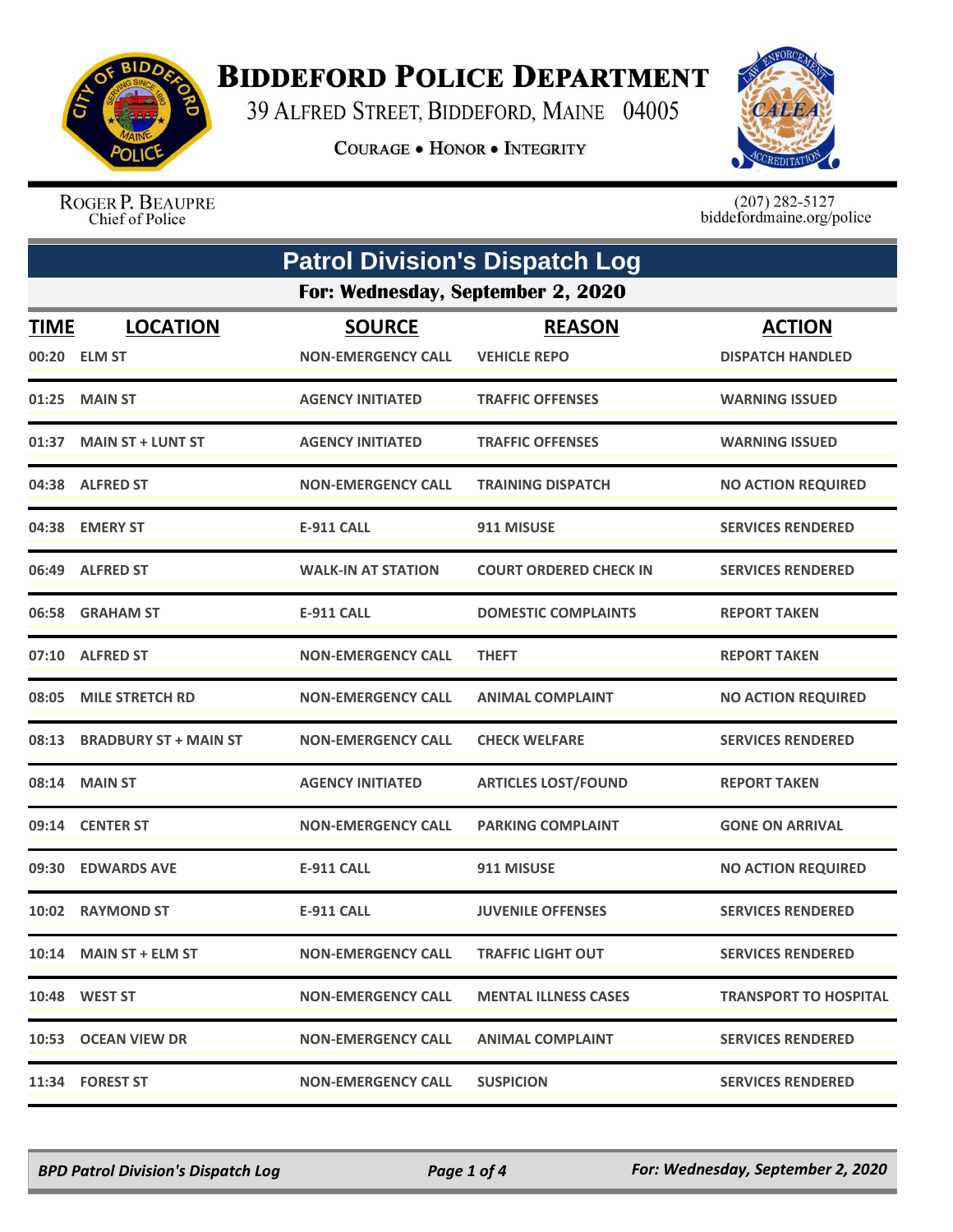

## **BIDDEFORD POLICE DEPARTMENT**

39 ALFRED STREET, BIDDEFORD, MAINE 04005

**COURAGE . HONOR . INTEGRITY** 



ROGER P. BEAUPRE Chief of Police

 $(207)$  282-5127<br>biddefordmaine.org/police

| <b>Patrol Division's Dispatch Log</b> |                              |                           |                               |                              |  |
|---------------------------------------|------------------------------|---------------------------|-------------------------------|------------------------------|--|
| For: Wednesday, September 2, 2020     |                              |                           |                               |                              |  |
| <b>TIME</b>                           | <b>LOCATION</b>              | <b>SOURCE</b>             | <b>REASON</b>                 | <b>ACTION</b>                |  |
|                                       | 00:20 ELM ST                 | <b>NON-EMERGENCY CALL</b> | <b>VEHICLE REPO</b>           | <b>DISPATCH HANDLED</b>      |  |
|                                       | 01:25 MAIN ST                | <b>AGENCY INITIATED</b>   | <b>TRAFFIC OFFENSES</b>       | <b>WARNING ISSUED</b>        |  |
|                                       | 01:37 MAIN ST + LUNT ST      | <b>AGENCY INITIATED</b>   | <b>TRAFFIC OFFENSES</b>       | <b>WARNING ISSUED</b>        |  |
|                                       | 04:38 ALFRED ST              | <b>NON-EMERGENCY CALL</b> | <b>TRAINING DISPATCH</b>      | <b>NO ACTION REQUIRED</b>    |  |
|                                       | 04:38 EMERY ST               | <b>E-911 CALL</b>         | 911 MISUSE                    | <b>SERVICES RENDERED</b>     |  |
| 06:49                                 | <b>ALFRED ST</b>             | <b>WALK-IN AT STATION</b> | <b>COURT ORDERED CHECK IN</b> | <b>SERVICES RENDERED</b>     |  |
| 06:58                                 | <b>GRAHAM ST</b>             | <b>E-911 CALL</b>         | <b>DOMESTIC COMPLAINTS</b>    | <b>REPORT TAKEN</b>          |  |
| 07:10                                 | <b>ALFRED ST</b>             | <b>NON-EMERGENCY CALL</b> | <b>THEFT</b>                  | <b>REPORT TAKEN</b>          |  |
| 08:05                                 | <b>MILE STRETCH RD</b>       | <b>NON-EMERGENCY CALL</b> | <b>ANIMAL COMPLAINT</b>       | <b>NO ACTION REQUIRED</b>    |  |
| 08:13                                 | <b>BRADBURY ST + MAIN ST</b> | <b>NON-EMERGENCY CALL</b> | <b>CHECK WELFARE</b>          | <b>SERVICES RENDERED</b>     |  |
| 08:14                                 | <b>MAIN ST</b>               | <b>AGENCY INITIATED</b>   | <b>ARTICLES LOST/FOUND</b>    | <b>REPORT TAKEN</b>          |  |
|                                       | 09:14 CENTER ST              | <b>NON-EMERGENCY CALL</b> | <b>PARKING COMPLAINT</b>      | <b>GONE ON ARRIVAL</b>       |  |
| 09:30                                 | <b>EDWARDS AVE</b>           | <b>E-911 CALL</b>         | 911 MISUSE                    | <b>NO ACTION REQUIRED</b>    |  |
| 10:02                                 | <b>RAYMOND ST</b>            | <b>E-911 CALL</b>         | <b>JUVENILE OFFENSES</b>      | <b>SERVICES RENDERED</b>     |  |
|                                       | $10:14$ MAIN ST + ELM ST     | <b>NON-EMERGENCY CALL</b> | <b>TRAFFIC LIGHT OUT</b>      | <b>SERVICES RENDERED</b>     |  |
|                                       | <b>10:48 WEST ST</b>         | <b>NON-EMERGENCY CALL</b> | <b>MENTAL ILLNESS CASES</b>   | <b>TRANSPORT TO HOSPITAL</b> |  |
|                                       | 10:53 OCEAN VIEW DR          | <b>NON-EMERGENCY CALL</b> | <b>ANIMAL COMPLAINT</b>       | <b>SERVICES RENDERED</b>     |  |
|                                       | 11:34 FOREST ST              | <b>NON-EMERGENCY CALL</b> | <b>SUSPICION</b>              | <b>SERVICES RENDERED</b>     |  |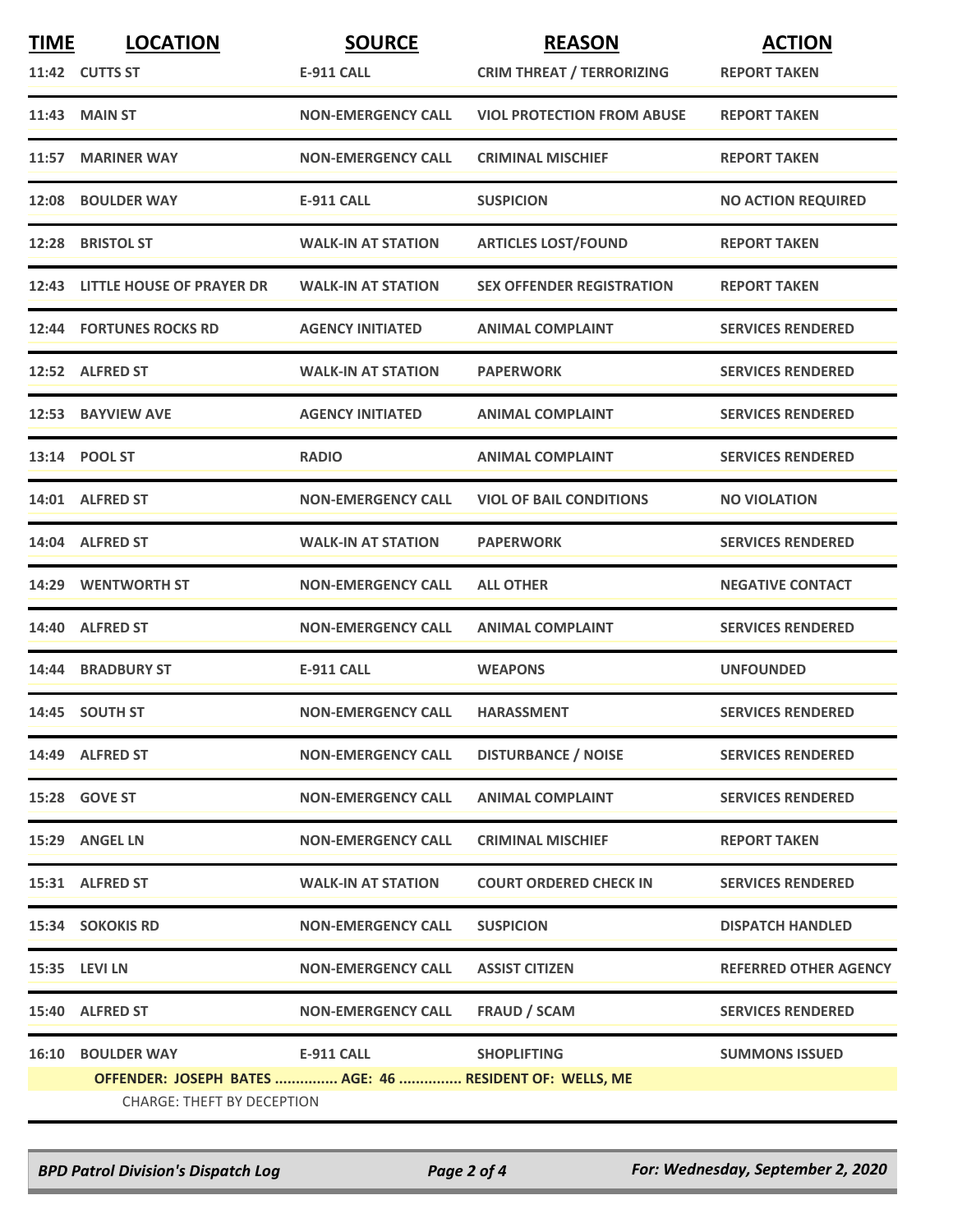| <b>TIME</b> | <b>LOCATION</b>                                         | <b>SOURCE</b>             | <b>REASON</b>                     | <b>ACTION</b>                |
|-------------|---------------------------------------------------------|---------------------------|-----------------------------------|------------------------------|
|             | 11:42 CUTTS ST                                          | E-911 CALL                | <b>CRIM THREAT / TERRORIZING</b>  | <b>REPORT TAKEN</b>          |
|             | 11:43 MAIN ST                                           | <b>NON-EMERGENCY CALL</b> | <b>VIOL PROTECTION FROM ABUSE</b> | <b>REPORT TAKEN</b>          |
| 11:57       | <b>MARINER WAY</b>                                      | <b>NON-EMERGENCY CALL</b> | <b>CRIMINAL MISCHIEF</b>          | <b>REPORT TAKEN</b>          |
|             | 12:08 BOULDER WAY                                       | E-911 CALL                | <b>SUSPICION</b>                  | <b>NO ACTION REQUIRED</b>    |
|             | 12:28 BRISTOL ST                                        | <b>WALK-IN AT STATION</b> | <b>ARTICLES LOST/FOUND</b>        | <b>REPORT TAKEN</b>          |
|             | 12:43 LITTLE HOUSE OF PRAYER DR                         | <b>WALK-IN AT STATION</b> | <b>SEX OFFENDER REGISTRATION</b>  | <b>REPORT TAKEN</b>          |
|             | <b>12:44 FORTUNES ROCKS RD</b>                          | <b>AGENCY INITIATED</b>   | <b>ANIMAL COMPLAINT</b>           | <b>SERVICES RENDERED</b>     |
|             | 12:52 ALFRED ST                                         | <b>WALK-IN AT STATION</b> | <b>PAPERWORK</b>                  | <b>SERVICES RENDERED</b>     |
|             | 12:53 BAYVIEW AVE                                       | <b>AGENCY INITIATED</b>   | <b>ANIMAL COMPLAINT</b>           | <b>SERVICES RENDERED</b>     |
|             | 13:14 POOL ST                                           | <b>RADIO</b>              | <b>ANIMAL COMPLAINT</b>           | <b>SERVICES RENDERED</b>     |
|             | 14:01 ALFRED ST                                         | <b>NON-EMERGENCY CALL</b> | <b>VIOL OF BAIL CONDITIONS</b>    | <b>NO VIOLATION</b>          |
|             | 14:04 ALFRED ST                                         | <b>WALK-IN AT STATION</b> | <b>PAPERWORK</b>                  | <b>SERVICES RENDERED</b>     |
|             | 14:29 WENTWORTH ST                                      | <b>NON-EMERGENCY CALL</b> | <b>ALL OTHER</b>                  | <b>NEGATIVE CONTACT</b>      |
|             | 14:40 ALFRED ST                                         | <b>NON-EMERGENCY CALL</b> | <b>ANIMAL COMPLAINT</b>           | <b>SERVICES RENDERED</b>     |
|             | 14:44 BRADBURY ST                                       | <b>E-911 CALL</b>         | <b>WEAPONS</b>                    | <b>UNFOUNDED</b>             |
|             | 14:45 SOUTH ST                                          | <b>NON-EMERGENCY CALL</b> | <b>HARASSMENT</b>                 | <b>SERVICES RENDERED</b>     |
|             | 14:49 ALFRED ST                                         | <b>NON-EMERGENCY CALL</b> | <b>DISTURBANCE / NOISE</b>        | <b>SERVICES RENDERED</b>     |
|             | 15:28 GOVE ST                                           | <b>NON-EMERGENCY CALL</b> | <b>ANIMAL COMPLAINT</b>           | <b>SERVICES RENDERED</b>     |
|             | 15:29 ANGEL LN                                          | <b>NON-EMERGENCY CALL</b> | <b>CRIMINAL MISCHIEF</b>          | <b>REPORT TAKEN</b>          |
|             | 15:31 ALFRED ST                                         | <b>WALK-IN AT STATION</b> | <b>COURT ORDERED CHECK IN</b>     | <b>SERVICES RENDERED</b>     |
|             | <b>15:34 SOKOKIS RD</b>                                 | <b>NON-EMERGENCY CALL</b> | <b>SUSPICION</b>                  | <b>DISPATCH HANDLED</b>      |
|             | 15:35 LEVI LN                                           | <b>NON-EMERGENCY CALL</b> | <b>ASSIST CITIZEN</b>             | <b>REFERRED OTHER AGENCY</b> |
|             | 15:40 ALFRED ST                                         | <b>NON-EMERGENCY CALL</b> | <b>FRAUD / SCAM</b>               | <b>SERVICES RENDERED</b>     |
| 16:10       | <b>BOULDER WAY</b>                                      | <b>E-911 CALL</b>         | <b>SHOPLIFTING</b>                | <b>SUMMONS ISSUED</b>        |
|             | OFFENDER: JOSEPH BATES  AGE: 46  RESIDENT OF: WELLS, ME |                           |                                   |                              |
|             | <b>CHARGE: THEFT BY DECEPTION</b>                       |                           |                                   |                              |

*BPD Patrol Division's Dispatch Log Page 2 of 4 For: Wednesday, September 2, 2020*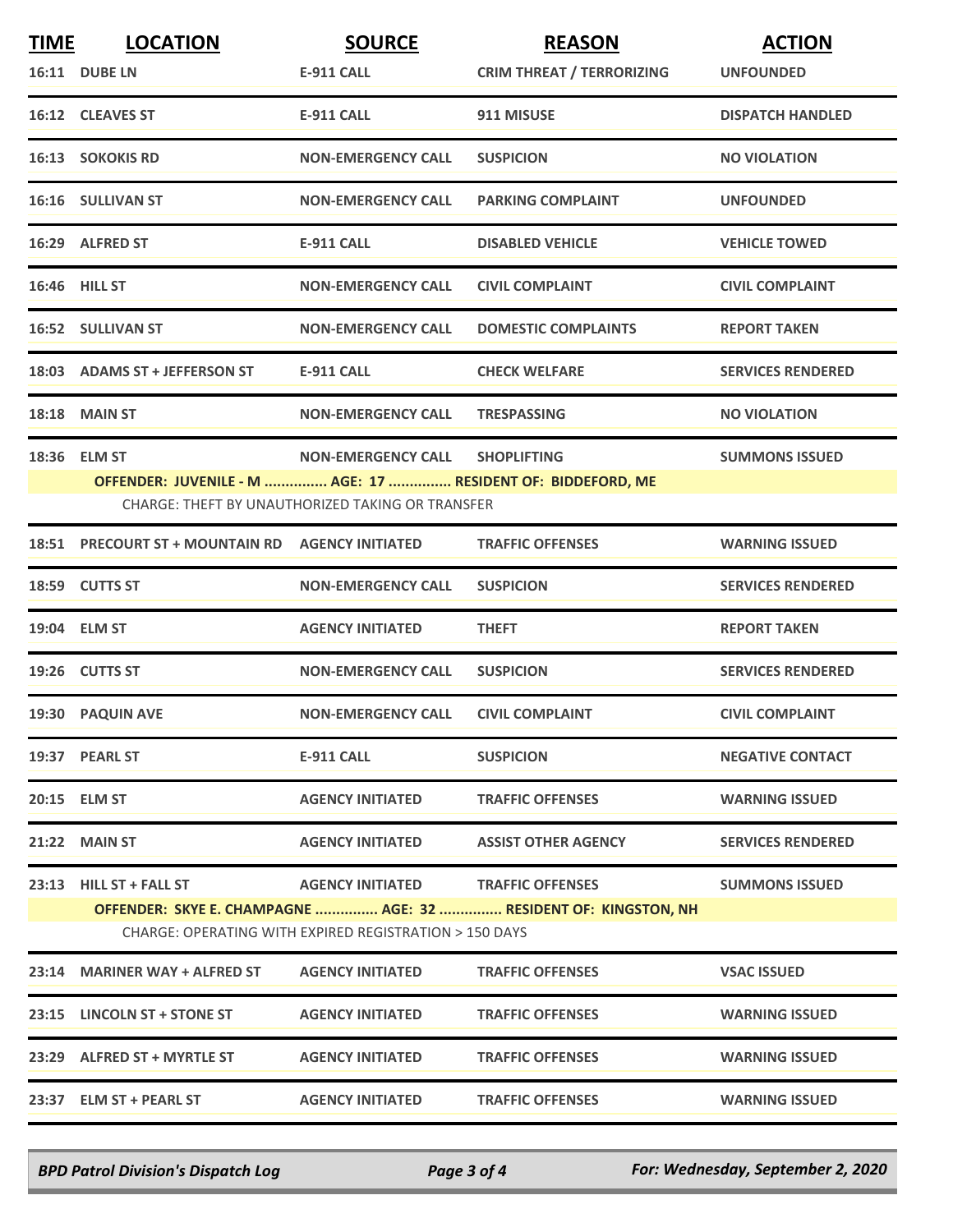| <b>TIME</b>                                            | <b>LOCATION</b>                                             | <b>SOURCE</b>                                    | <b>REASON</b>                                                   | <b>ACTION</b>            |  |  |
|--------------------------------------------------------|-------------------------------------------------------------|--------------------------------------------------|-----------------------------------------------------------------|--------------------------|--|--|
|                                                        | 16:11 DUBE LN                                               | <b>E-911 CALL</b>                                | <b>CRIM THREAT / TERRORIZING</b>                                | <b>UNFOUNDED</b>         |  |  |
|                                                        | 16:12 CLEAVES ST                                            | E-911 CALL                                       | 911 MISUSE                                                      | <b>DISPATCH HANDLED</b>  |  |  |
|                                                        | <b>16:13 SOKOKIS RD</b>                                     | <b>NON-EMERGENCY CALL</b>                        | <b>SUSPICION</b>                                                | <b>NO VIOLATION</b>      |  |  |
|                                                        | 16:16 SULLIVAN ST                                           | <b>NON-EMERGENCY CALL</b>                        | <b>PARKING COMPLAINT</b>                                        | <b>UNFOUNDED</b>         |  |  |
|                                                        | 16:29 ALFRED ST                                             | <b>E-911 CALL</b>                                | <b>DISABLED VEHICLE</b>                                         | <b>VEHICLE TOWED</b>     |  |  |
|                                                        | <b>16:46 HILL ST</b>                                        | <b>NON-EMERGENCY CALL</b>                        | <b>CIVIL COMPLAINT</b>                                          | <b>CIVIL COMPLAINT</b>   |  |  |
|                                                        | <b>16:52 SULLIVAN ST</b>                                    | <b>NON-EMERGENCY CALL</b>                        | <b>DOMESTIC COMPLAINTS</b>                                      | <b>REPORT TAKEN</b>      |  |  |
|                                                        | 18:03 ADAMS ST + JEFFERSON ST                               | <b>E-911 CALL</b>                                | <b>CHECK WELFARE</b>                                            | <b>SERVICES RENDERED</b> |  |  |
|                                                        | 18:18 MAIN ST                                               | <b>NON-EMERGENCY CALL</b>                        | <b>TRESPASSING</b>                                              | <b>NO VIOLATION</b>      |  |  |
|                                                        | 18:36 ELM ST                                                | <b>NON-EMERGENCY CALL</b>                        | <b>SHOPLIFTING</b>                                              | <b>SUMMONS ISSUED</b>    |  |  |
|                                                        | OFFENDER: JUVENILE - M  AGE: 17  RESIDENT OF: BIDDEFORD, ME |                                                  |                                                                 |                          |  |  |
|                                                        |                                                             | CHARGE: THEFT BY UNAUTHORIZED TAKING OR TRANSFER |                                                                 |                          |  |  |
|                                                        | 18:51 PRECOURT ST + MOUNTAIN RD AGENCY INITIATED            |                                                  | <b>TRAFFIC OFFENSES</b>                                         | <b>WARNING ISSUED</b>    |  |  |
|                                                        | 18:59 CUTTS ST                                              | <b>NON-EMERGENCY CALL</b>                        | <b>SUSPICION</b>                                                | <b>SERVICES RENDERED</b> |  |  |
|                                                        | 19:04 ELM ST                                                | <b>AGENCY INITIATED</b>                          | <b>THEFT</b>                                                    | <b>REPORT TAKEN</b>      |  |  |
|                                                        | 19:26 CUTTS ST                                              | <b>NON-EMERGENCY CALL</b>                        | <b>SUSPICION</b>                                                | <b>SERVICES RENDERED</b> |  |  |
|                                                        | 19:30 PAQUIN AVE                                            | <b>NON-EMERGENCY CALL</b>                        | <b>CIVIL COMPLAINT</b>                                          | <b>CIVIL COMPLAINT</b>   |  |  |
|                                                        | 19:37 PEARL ST                                              | E-911 CALL                                       | <b>SUSPICION</b>                                                | <b>NEGATIVE CONTACT</b>  |  |  |
|                                                        | 20:15 ELM ST                                                | <b>AGENCY INITIATED</b>                          | <b>TRAFFIC OFFENSES</b>                                         | <b>WARNING ISSUED</b>    |  |  |
|                                                        | 21:22 MAIN ST                                               | <b>AGENCY INITIATED</b>                          | <b>ASSIST OTHER AGENCY</b>                                      | <b>SERVICES RENDERED</b> |  |  |
|                                                        | 23:13 HILL ST + FALL ST                                     | AGENCY INITIATED TRAFFIC OFFENSES                |                                                                 | <b>SUMMONS ISSUED</b>    |  |  |
|                                                        |                                                             |                                                  | OFFENDER: SKYE E. CHAMPAGNE  AGE: 32  RESIDENT OF: KINGSTON, NH |                          |  |  |
| CHARGE: OPERATING WITH EXPIRED REGISTRATION > 150 DAYS |                                                             |                                                  |                                                                 |                          |  |  |
|                                                        | 23:14 MARINER WAY + ALFRED ST                               | <b>AGENCY INITIATED</b>                          | <b>TRAFFIC OFFENSES</b>                                         | <b>VSAC ISSUED</b>       |  |  |
|                                                        | 23:15 LINCOLN ST + STONE ST                                 | <b>AGENCY INITIATED</b>                          | <b>TRAFFIC OFFENSES</b>                                         | <b>WARNING ISSUED</b>    |  |  |
|                                                        | 23:29 ALFRED ST + MYRTLE ST                                 | <b>AGENCY INITIATED</b>                          | <b>TRAFFIC OFFENSES</b>                                         | <b>WARNING ISSUED</b>    |  |  |
|                                                        | 23:37 ELM ST + PEARL ST                                     | <b>AGENCY INITIATED</b>                          | <b>TRAFFIC OFFENSES</b>                                         | <b>WARNING ISSUED</b>    |  |  |

*BPD Patrol Division's Dispatch Log Page 3 of 4 For: Wednesday, September 2, 2020*